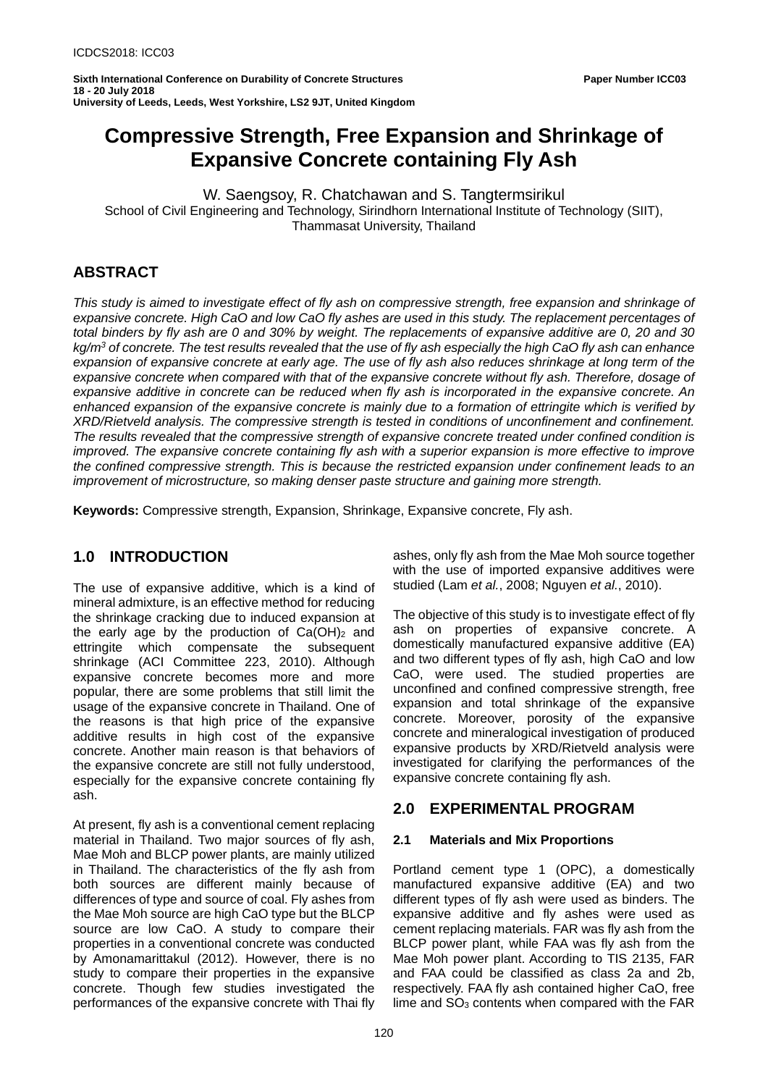# **Compressive Strength, Free Expansion and Shrinkage of Expansive Concrete containing Fly Ash**

W. Saengsoy, R. Chatchawan and S. Tangtermsirikul School of Civil Engineering and Technology, Sirindhorn International Institute of Technology (SIIT), Thammasat University, Thailand

# **ABSTRACT**

*This study is aimed to investigate effect of fly ash on compressive strength, free expansion and shrinkage of expansive concrete. High CaO and low CaO fly ashes are used in this study. The replacement percentages of total binders by fly ash are 0 and 30% by weight. The replacements of expansive additive are 0, 20 and 30 kg/m3 of concrete. The test results revealed that the use of fly ash especially the high CaO fly ash can enhance expansion of expansive concrete at early age. The use of fly ash also reduces shrinkage at long term of the expansive concrete when compared with that of the expansive concrete without fly ash. Therefore, dosage of expansive additive in concrete can be reduced when fly ash is incorporated in the expansive concrete. An enhanced expansion of the expansive concrete is mainly due to a formation of ettringite which is verified by XRD/Rietveld analysis. The compressive strength is tested in conditions of unconfinement and confinement. The results revealed that the compressive strength of expansive concrete treated under confined condition is improved. The expansive concrete containing fly ash with a superior expansion is more effective to improve the confined compressive strength. This is because the restricted expansion under confinement leads to an improvement of microstructure, so making denser paste structure and gaining more strength.*

**Keywords:** Compressive strength, Expansion, Shrinkage, Expansive concrete, Fly ash.

# **1.0 INTRODUCTION**

The use of expansive additive, which is a kind of mineral admixture, is an effective method for reducing the shrinkage cracking due to induced expansion at the early age by the production of  $Ca(OH)_2$  and ettringite which compensate the subsequent shrinkage (ACI Committee 223, 2010). Although expansive concrete becomes more and more popular, there are some problems that still limit the usage of the expansive concrete in Thailand. One of the reasons is that high price of the expansive additive results in high cost of the expansive concrete. Another main reason is that behaviors of the expansive concrete are still not fully understood, especially for the expansive concrete containing fly ash.

At present, fly ash is a conventional cement replacing material in Thailand. Two major sources of fly ash, Mae Moh and BLCP power plants, are mainly utilized in Thailand. The characteristics of the fly ash from both sources are different mainly because of differences of type and source of coal. Fly ashes from the Mae Moh source are high CaO type but the BLCP source are low CaO. A study to compare their properties in a conventional concrete was conducted by Amonamarittakul (2012). However, there is no study to compare their properties in the expansive concrete. Though few studies investigated the performances of the expansive concrete with Thai fly

ashes, only fly ash from the Mae Moh source together with the use of imported expansive additives were studied (Lam *et al.*, 2008; Nguyen *et al.*, 2010).

The objective of this study is to investigate effect of fly ash on properties of expansive concrete. A domestically manufactured expansive additive (EA) and two different types of fly ash, high CaO and low CaO, were used. The studied properties are unconfined and confined compressive strength, free expansion and total shrinkage of the expansive concrete. Moreover, porosity of the expansive concrete and mineralogical investigation of produced expansive products by XRD/Rietveld analysis were investigated for clarifying the performances of the expansive concrete containing fly ash.

# **2.0 EXPERIMENTAL PROGRAM**

# **2.1 Materials and Mix Proportions**

Portland cement type 1 (OPC), a domestically manufactured expansive additive (EA) and two different types of fly ash were used as binders. The expansive additive and fly ashes were used as cement replacing materials. FAR was fly ash from the BLCP power plant, while FAA was fly ash from the Mae Moh power plant. According to TIS 2135, FAR and FAA could be classified as class 2a and 2b, respectively. FAA fly ash contained higher CaO, free lime and  $SO<sub>3</sub>$  contents when compared with the FAR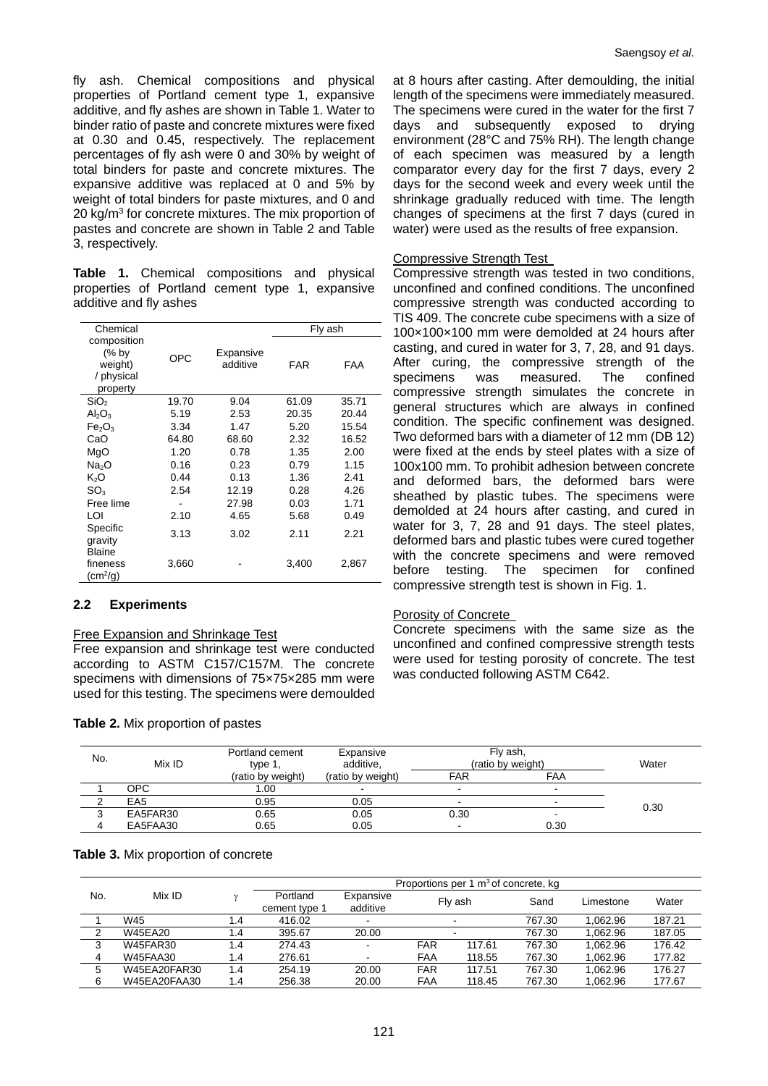fly ash. Chemical compositions and physical properties of Portland cement type 1, expansive additive, and fly ashes are shown in Table 1. Water to binder ratio of paste and concrete mixtures were fixed at 0.30 and 0.45, respectively. The replacement percentages of fly ash were 0 and 30% by weight of total binders for paste and concrete mixtures. The expansive additive was replaced at 0 and 5% by weight of total binders for paste mixtures, and 0 and 20 kg/m<sup>3</sup> for concrete mixtures. The mix proportion of pastes and concrete are shown in Table 2 and Table 3, respectively.

**Table 1.** Chemical compositions and physical properties of Portland cement type 1, expansive additive and fly ashes

| Chemical                                                  |       |                       | Fly ash |       |  |
|-----------------------------------------------------------|-------|-----------------------|---------|-------|--|
| composition<br>(% by<br>weight)<br>/ physical<br>property | OPC   | Expansive<br>additive | FAR     | FAA   |  |
| SiO <sub>2</sub>                                          | 19.70 | 9.04                  | 61.09   | 35.71 |  |
| $\mathsf{Al}_2\mathsf{O}_3$                               | 5.19  | 2.53                  | 20.35   | 20.44 |  |
| Fe <sub>2</sub> O <sub>3</sub>                            | 3.34  | 1.47                  | 5.20    | 15.54 |  |
| CaO                                                       | 64.80 | 68.60                 | 2.32    | 16.52 |  |
| MgO                                                       | 1.20  | 0.78                  | 1.35    | 2.00  |  |
| Na <sub>2</sub> O                                         | 0.16  | 0.23                  | 0.79    | 1.15  |  |
| K2O                                                       | 0.44  | 0.13                  | 1.36    | 2.41  |  |
| $SO_3$                                                    | 2.54  | 12.19                 | 0.28    | 4.26  |  |
| Free lime                                                 |       | 27.98                 | 0.03    | 1.71  |  |
| ו ח                                                       | 2.10  | 4.65                  | 5.68    | 0.49  |  |
| Specific<br>gravity                                       | 3.13  | 3.02                  | 2.11    | 2.21  |  |
| <b>Blaine</b><br>fineness<br>$(cm^2/g)$                   | 3,660 |                       | 3,400   | 2,867 |  |

# **2.2 Experiments**

#### Free Expansion and Shrinkage Test

Free expansion and shrinkage test were conducted according to ASTM C157/C157M. The concrete specimens with dimensions of 75×75×285 mm were used for this testing. The specimens were demoulded

#### **Table 2.** Mix proportion of pastes

at 8 hours after casting. After demoulding, the initial length of the specimens were immediately measured. The specimens were cured in the water for the first 7 days and subsequently exposed to drying environment (28°C and 75% RH). The length change of each specimen was measured by a length comparator every day for the first 7 days, every 2 days for the second week and every week until the shrinkage gradually reduced with time. The length changes of specimens at the first 7 days (cured in water) were used as the results of free expansion.

#### Compressive Strength Test

Compressive strength was tested in two conditions, unconfined and confined conditions. The unconfined compressive strength was conducted according to TIS 409. The concrete cube specimens with a size of 100×100×100 mm were demolded at 24 hours after casting, and cured in water for 3, 7, 28, and 91 days. After curing, the compressive strength of the<br>specimens was measured. The confined specimens was measured. The confined compressive strength simulates the concrete in general structures which are always in confined condition. The specific confinement was designed. Two deformed bars with a diameter of 12 mm (DB 12) were fixed at the ends by steel plates with a size of 100x100 mm. To prohibit adhesion between concrete and deformed bars, the deformed bars were sheathed by plastic tubes. The specimens were demolded at 24 hours after casting, and cured in water for 3, 7, 28 and 91 days. The steel plates, deformed bars and plastic tubes were cured together with the concrete specimens and were removed before testing. The specimen for confined compressive strength test is shown in Fig. 1.

#### Porosity of Concrete

Concrete specimens with the same size as the unconfined and confined compressive strength tests were used for testing porosity of concrete. The test was conducted following ASTM C642.

| No. | Mix ID          | Portland cement<br>type 1,<br>(ratio by weight) | Expansive<br>additive,<br>(ratio by weight) | Fly ash,<br>(ratio by weight) | Water |      |
|-----|-----------------|-------------------------------------------------|---------------------------------------------|-------------------------------|-------|------|
|     |                 |                                                 |                                             | <b>FAR</b>                    | FAA   |      |
|     | OPC             | 00. ا                                           |                                             | $\,$                          | $\,$  |      |
|     | EA <sub>5</sub> | 0.95                                            | 0.05                                        | -                             | $\,$  | 0.30 |
|     | EA5FAR30        | 0.65                                            | 0.05                                        | 0.30                          | $\,$  |      |
|     | EA5FAA30        | 0.65                                            | 0.05                                        |                               | 0.30  |      |

#### **Table 3.** Mix proportion of concrete

|        | Mix ID       |     | Proportions per 1 m <sup>3</sup> of concrete, kg |                          |            |         |        |           |        |
|--------|--------------|-----|--------------------------------------------------|--------------------------|------------|---------|--------|-----------|--------|
| No.    |              |     | Portland<br>cement type 1                        | Expansive<br>additive    |            | Fly ash | Sand   | Limestone | Water  |
|        | W45          | 1.4 | 416.02                                           | $\overline{\phantom{a}}$ |            |         | 767.30 | 1.062.96  | 187.21 |
| $\sim$ | W45EA20      | 1.4 | 395.67                                           | 20.00                    |            |         | 767.30 | 1.062.96  | 187.05 |
| ≘      | W45FAR30     | 1.4 | 274.43                                           | $\overline{\phantom{a}}$ | <b>FAR</b> | 117.61  | 767.30 | 1.062.96  | 176.42 |
| 4      | W45FAA30     | 1.4 | 276.61                                           | $\,$                     | <b>FAA</b> | 118.55  | 767.30 | 1.062.96  | 177.82 |
| 5      | W45EA20FAR30 | 1.4 | 254.19                                           | 20.00                    | <b>FAR</b> | 117.51  | 767.30 | 1.062.96  | 176.27 |
| 6      | W45EA20FAA30 | 1.4 | 256.38                                           | 20.00                    | FAA        | 118.45  | 767.30 | 1.062.96  | 177.67 |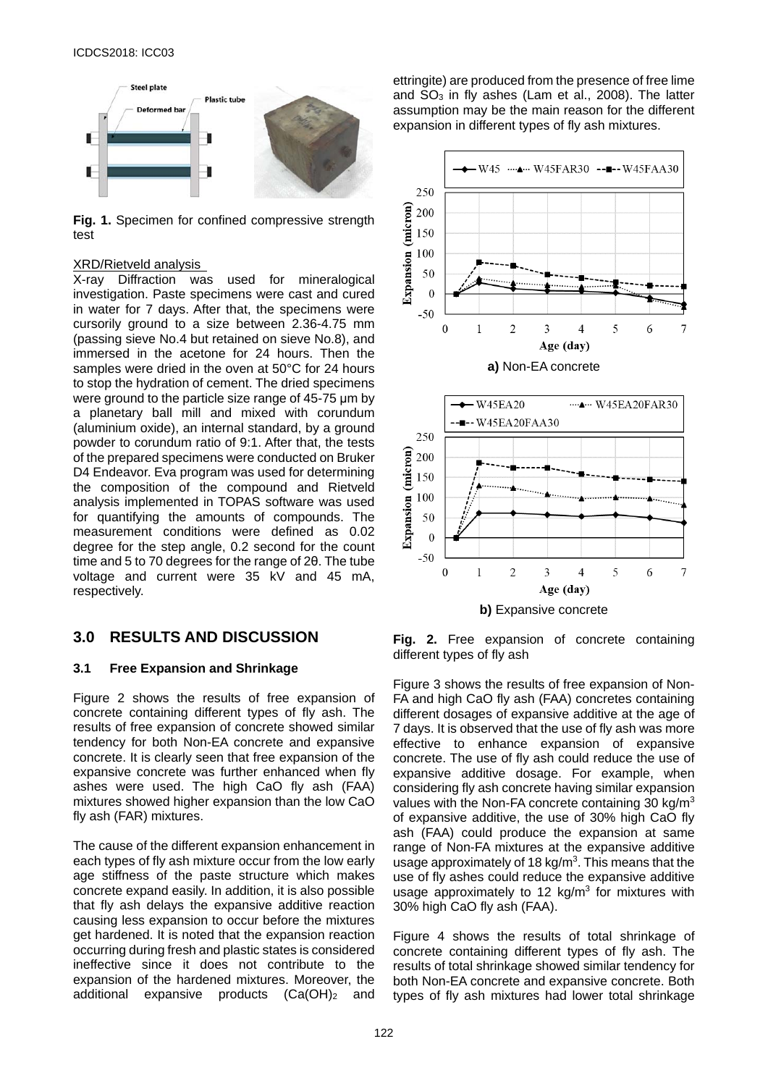

**Fig. 1.** Specimen for confined compressive strength test

#### XRD/Rietveld analysis

X-ray Diffraction was used for mineralogical investigation. Paste specimens were cast and cured in water for 7 days. After that, the specimens were cursorily ground to a size between 2.36-4.75 mm (passing sieve No.4 but retained on sieve No.8), and immersed in the acetone for 24 hours. Then the samples were dried in the oven at 50°C for 24 hours to stop the hydration of cement. The dried specimens were ground to the particle size range of 45-75 μm by a planetary ball mill and mixed with corundum (aluminium oxide), an internal standard, by a ground powder to corundum ratio of 9:1. After that, the tests of the prepared specimens were conducted on Bruker D4 Endeavor. Eva program was used for determining the composition of the compound and Rietveld analysis implemented in TOPAS software was used for quantifying the amounts of compounds. The measurement conditions were defined as 0.02 degree for the step angle, 0.2 second for the count time and 5 to 70 degrees for the range of 2θ. The tube voltage and current were 35 kV and 45 mA, respectively.

# **3.0 RESULTS AND DISCUSSION**

#### **3.1 Free Expansion and Shrinkage**

Figure 2 shows the results of free expansion of concrete containing different types of fly ash. The results of free expansion of concrete showed similar tendency for both Non-EA concrete and expansive concrete. It is clearly seen that free expansion of the expansive concrete was further enhanced when fly ashes were used. The high CaO fly ash (FAA) mixtures showed higher expansion than the low CaO fly ash (FAR) mixtures.

The cause of the different expansion enhancement in each types of fly ash mixture occur from the low early age stiffness of the paste structure which makes concrete expand easily. In addition, it is also possible that fly ash delays the expansive additive reaction causing less expansion to occur before the mixtures get hardened. It is noted that the expansion reaction occurring during fresh and plastic states is considered ineffective since it does not contribute to the expansion of the hardened mixtures. Moreover, the additional expansive products (Ca(OH)<sub>2</sub> and

ettringite) are produced from the presence of free lime and SO3 in fly ashes (Lam et al., 2008). The latter assumption may be the main reason for the different expansion in different types of fly ash mixtures.



**Fig. 2.** Free expansion of concrete containing different types of fly ash

Figure 3 shows the results of free expansion of Non-FA and high CaO fly ash (FAA) concretes containing different dosages of expansive additive at the age of 7 days. It is observed that the use of fly ash was more effective to enhance expansion of expansive concrete. The use of fly ash could reduce the use of expansive additive dosage. For example, when considering fly ash concrete having similar expansion values with the Non-FA concrete containing 30 kg/m<sup>3</sup> of expansive additive, the use of 30% high CaO fly ash (FAA) could produce the expansion at same range of Non-FA mixtures at the expansive additive usage approximately of 18 kg/ $m<sup>3</sup>$ . This means that the use of fly ashes could reduce the expansive additive usage approximately to 12 kg/ $m<sup>3</sup>$  for mixtures with 30% high CaO fly ash (FAA).

Figure 4 shows the results of total shrinkage of concrete containing different types of fly ash. The results of total shrinkage showed similar tendency for both Non-EA concrete and expansive concrete. Both types of fly ash mixtures had lower total shrinkage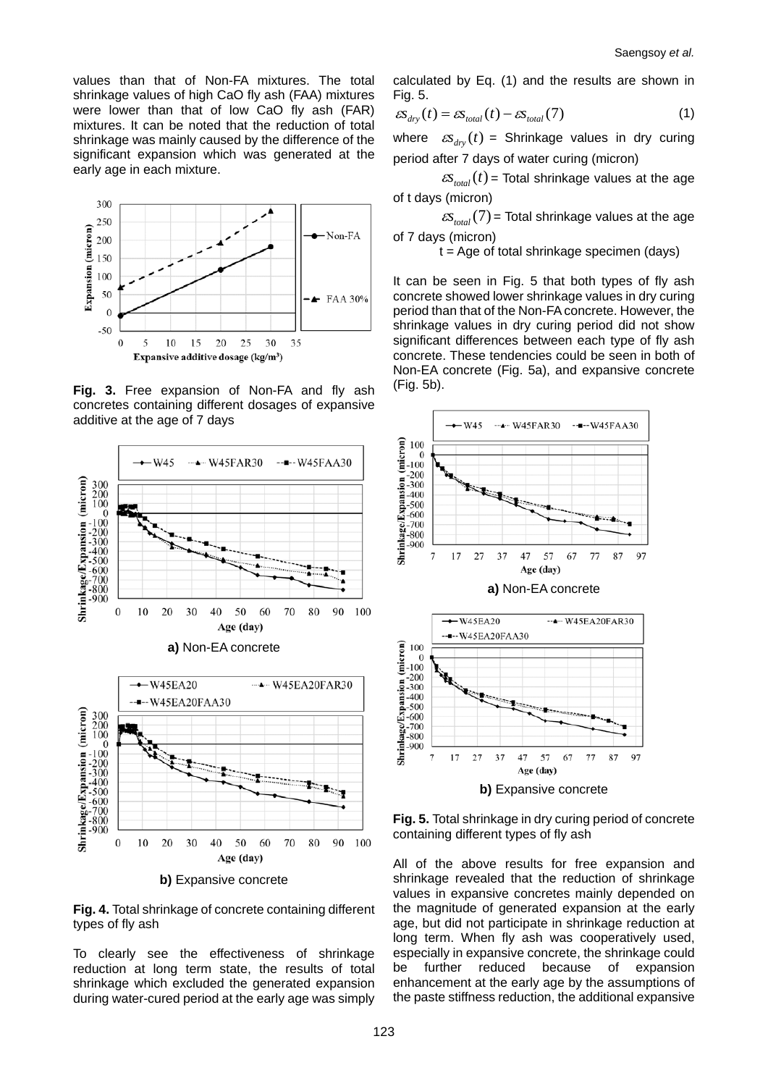values than that of Non-FA mixtures. The total shrinkage values of high CaO fly ash (FAA) mixtures were lower than that of low CaO fly ash (FAR) mixtures. It can be noted that the reduction of total shrinkage was mainly caused by the difference of the significant expansion which was generated at the early age in each mixture.



**Fig. 3.** Free expansion of Non-FA and fly ash concretes containing different dosages of expansive additive at the age of 7 days



**Fig. 4.** Total shrinkage of concrete containing different types of fly ash

To clearly see the effectiveness of shrinkage reduction at long term state, the results of total shrinkage which excluded the generated expansion during water-cured period at the early age was simply calculated by Eq. (1) and the results are shown in Fig. 5.

$$
\varepsilon s_{\text{dry}}(t) = \varepsilon s_{\text{total}}(t) - \varepsilon s_{\text{total}}(7) \tag{1}
$$

where  $\mathcal{L}(\mathcal{S}_{div}(t)) =$  Shrinkage values in dry curing period after 7 days of water curing (micron)

 $\mathcal{L}(\mathcal{S}_{total}(t))$  = Total shrinkage values at the age of t days (micron)

 $\epsilon s_{total}(7)$  = Total shrinkage values at the age of 7 days (micron)

 $t = Age$  of total shrinkage specimen (days)

It can be seen in Fig. 5 that both types of fly ash concrete showed lower shrinkage values in dry curing period than that of the Non-FA concrete. However, the shrinkage values in dry curing period did not show significant differences between each type of fly ash concrete. These tendencies could be seen in both of Non-EA concrete (Fig. 5a), and expansive concrete (Fig. 5b).



**Fig. 5.** Total shrinkage in dry curing period of concrete containing different types of fly ash

All of the above results for free expansion and shrinkage revealed that the reduction of shrinkage values in expansive concretes mainly depended on the magnitude of generated expansion at the early age, but did not participate in shrinkage reduction at long term. When fly ash was cooperatively used, especially in expansive concrete, the shrinkage could be further reduced because of expansion enhancement at the early age by the assumptions of the paste stiffness reduction, the additional expansive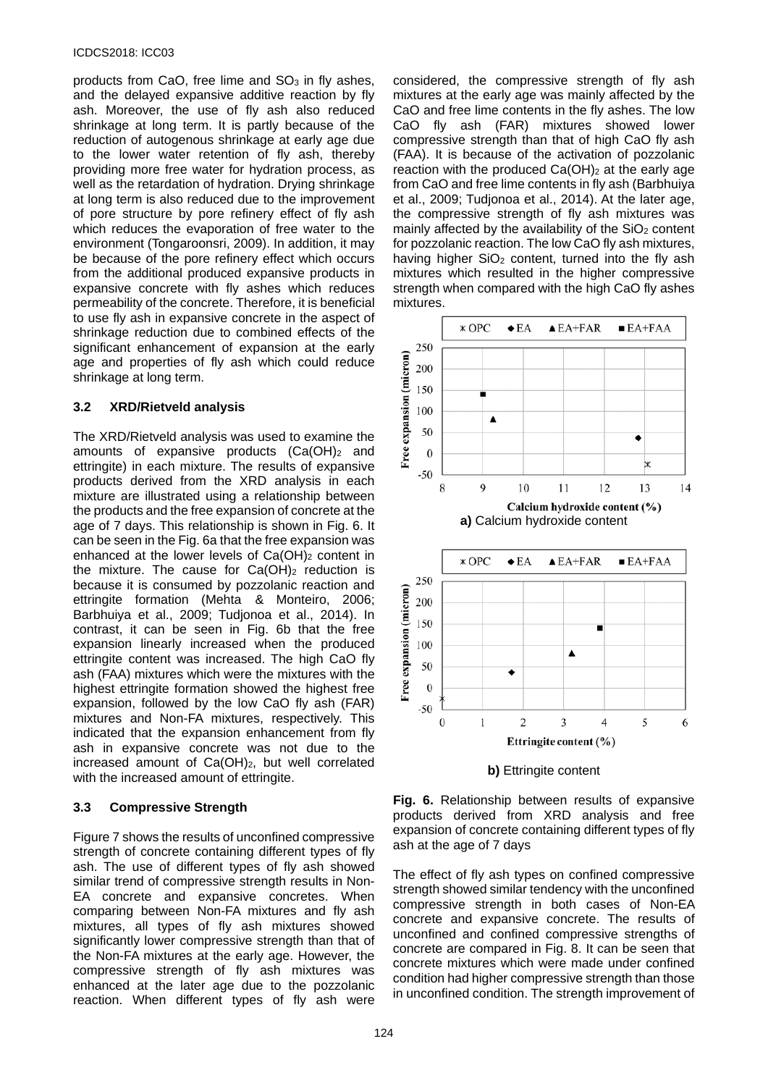products from CaO, free lime and  $SO<sub>3</sub>$  in fly ashes, and the delayed expansive additive reaction by fly ash. Moreover, the use of fly ash also reduced shrinkage at long term. It is partly because of the reduction of autogenous shrinkage at early age due to the lower water retention of fly ash, thereby providing more free water for hydration process, as well as the retardation of hydration. Drying shrinkage at long term is also reduced due to the improvement of pore structure by pore refinery effect of fly ash which reduces the evaporation of free water to the environment (Tongaroonsri, 2009). In addition, it may be because of the pore refinery effect which occurs from the additional produced expansive products in expansive concrete with fly ashes which reduces permeability of the concrete. Therefore, it is beneficial to use fly ash in expansive concrete in the aspect of shrinkage reduction due to combined effects of the significant enhancement of expansion at the early age and properties of fly ash which could reduce shrinkage at long term.

# **3.2 XRD/Rietveld analysis**

The XRD/Rietveld analysis was used to examine the amounts of expansive products  $(Ca(OH))<sub>2</sub>$  and ettringite) in each mixture. The results of expansive products derived from the XRD analysis in each mixture are illustrated using a relationship between the products and the free expansion of concrete at the age of 7 days. This relationship is shown in Fig. 6. It can be seen in the Fig. 6a that the free expansion was enhanced at the lower levels of  $Ca(OH)_2$  content in the mixture. The cause for  $Ca(OH)_2$  reduction is because it is consumed by pozzolanic reaction and ettringite formation (Mehta & Monteiro, 2006; Barbhuiya et al., 2009; Tudjonoa et al., 2014). In contrast, it can be seen in Fig. 6b that the free expansion linearly increased when the produced ettringite content was increased. The high CaO fly ash (FAA) mixtures which were the mixtures with the highest ettringite formation showed the highest free expansion, followed by the low CaO fly ash (FAR) mixtures and Non-FA mixtures, respectively. This indicated that the expansion enhancement from fly ash in expansive concrete was not due to the increased amount of  $Ca(OH)_2$ , but well correlated with the increased amount of ettringite.

# **3.3 Compressive Strength**

Figure 7 shows the results of unconfined compressive strength of concrete containing different types of fly ash. The use of different types of fly ash showed similar trend of compressive strength results in Non-EA concrete and expansive concretes. When comparing between Non-FA mixtures and fly ash mixtures, all types of fly ash mixtures showed significantly lower compressive strength than that of the Non-FA mixtures at the early age. However, the compressive strength of fly ash mixtures was enhanced at the later age due to the pozzolanic reaction. When different types of fly ash were

considered, the compressive strength of fly ash mixtures at the early age was mainly affected by the CaO and free lime contents in the fly ashes. The low CaO fly ash (FAR) mixtures showed lower compressive strength than that of high CaO fly ash (FAA). It is because of the activation of pozzolanic reaction with the produced  $Ca(OH)_2$  at the early age from CaO and free lime contents in fly ash (Barbhuiya et al., 2009; Tudjonoa et al., 2014). At the later age, the compressive strength of fly ash mixtures was mainly affected by the availability of the  $SiO<sub>2</sub>$  content for pozzolanic reaction. The low CaO fly ash mixtures, having higher  $SiO<sub>2</sub>$  content, turned into the fly ash mixtures which resulted in the higher compressive strength when compared with the high CaO fly ashes mixtures.



**b)** Ettringite content

**Fig. 6.** Relationship between results of expansive products derived from XRD analysis and free expansion of concrete containing different types of fly ash at the age of 7 days

The effect of fly ash types on confined compressive strength showed similar tendency with the unconfined compressive strength in both cases of Non-EA concrete and expansive concrete. The results of unconfined and confined compressive strengths of concrete are compared in Fig. 8. It can be seen that concrete mixtures which were made under confined condition had higher compressive strength than those in unconfined condition. The strength improvement of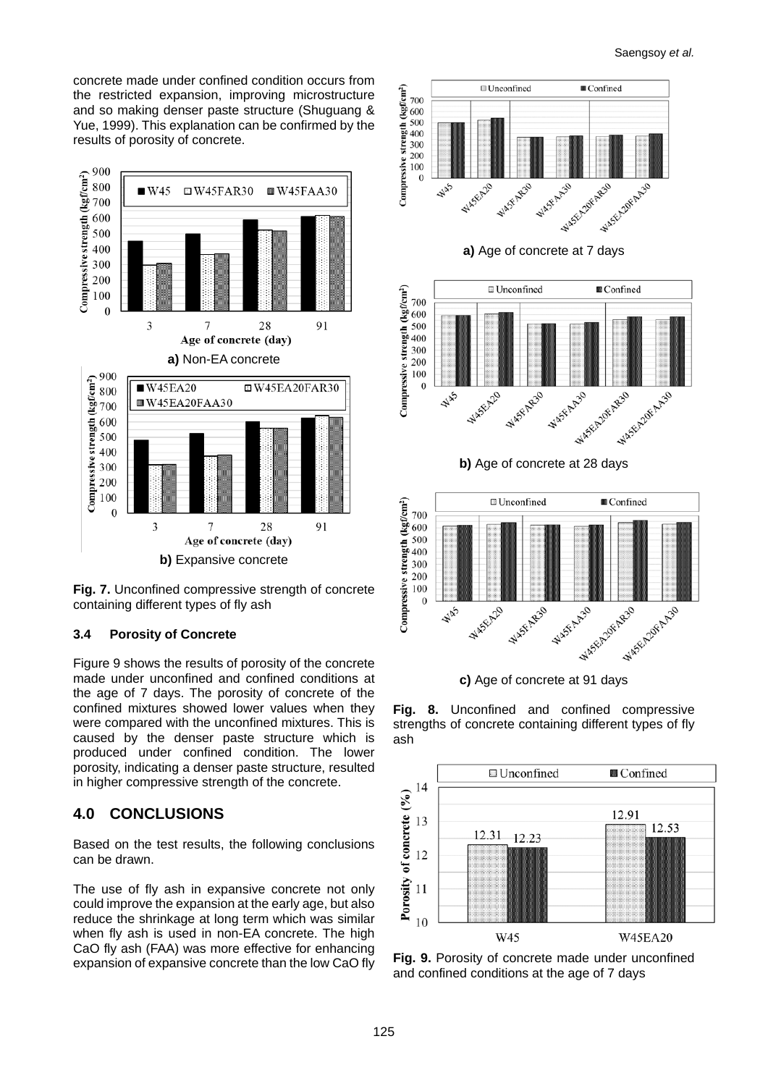concrete made under confined condition occurs from the restricted expansion, improving microstructure and so making denser paste structure (Shuguang & Yue, 1999). This explanation can be confirmed by the results of porosity of concrete.



**Fig. 7.** Unconfined compressive strength of concrete containing different types of fly ash

# **3.4 Porosity of Concrete**

Figure 9 shows the results of porosity of the concrete made under unconfined and confined conditions at the age of 7 days. The porosity of concrete of the confined mixtures showed lower values when they were compared with the unconfined mixtures. This is caused by the denser paste structure which is produced under confined condition. The lower porosity, indicating a denser paste structure, resulted in higher compressive strength of the concrete.

# **4.0 CONCLUSIONS**

Based on the test results, the following conclusions can be drawn.

The use of fly ash in expansive concrete not only could improve the expansion at the early age, but also reduce the shrinkage at long term which was similar when fly ash is used in non-EA concrete. The high CaO fly ash (FAA) was more effective for enhancing expansion of expansive concrete than the low CaO fly



**c)** Age of concrete at 91 days

**Fig. 8.** Unconfined and confined compressive strengths of concrete containing different types of fly ash



**Fig. 9.** Porosity of concrete made under unconfined and confined conditions at the age of 7 days